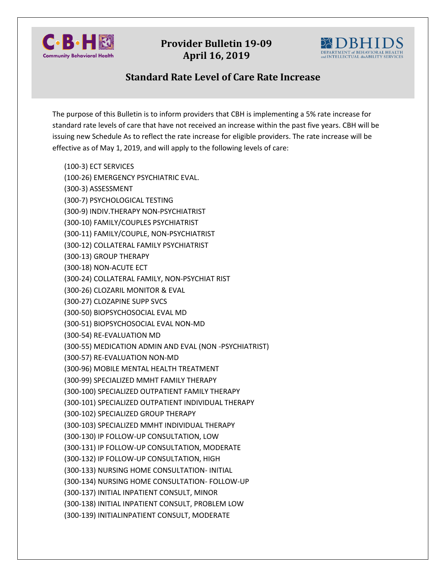

## **Provider Bulletin 19-09 April 16, 2019**



## **Standard Rate Level of Care Rate Increase**

The purpose of this Bulletin is to inform providers that CBH is implementing a 5% rate increase for standard rate levels of care that have not received an increase within the past five years. CBH will be issuing new Schedule As to reflect the rate increase for eligible providers. The rate increase will be effective as of May 1, 2019, and will apply to the following levels of care:

(100-3) ECT SERVICES (100-26) EMERGENCY PSYCHIATRIC EVAL. (300-3) ASSESSMENT (300-7) PSYCHOLOGICAL TESTING (300-9) INDIV.THERAPY NON-PSYCHIATRIST (300-10) FAMILY/COUPLES PSYCHIATRIST (300-11) FAMILY/COUPLE, NON-PSYCHIATRIST (300-12) COLLATERAL FAMILY PSYCHIATRIST (300-13) GROUP THERAPY (300-18) NON-ACUTE ECT (300-24) COLLATERAL FAMILY, NON-PSYCHIAT RIST (300-26) CLOZARIL MONITOR & EVAL (300-27) CLOZAPINE SUPP SVCS (300-50) BIOPSYCHOSOCIAL EVAL MD (300-51) BIOPSYCHOSOCIAL EVAL NON-MD (300-54) RE-EVALUATION MD (300-55) MEDICATION ADMIN AND EVAL (NON -PSYCHIATRIST) (300-57) RE-EVALUATION NON-MD (300-96) MOBILE MENTAL HEALTH TREATMENT (300-99) SPECIALIZED MMHT FAMILY THERAPY (300-100) SPECIALIZED OUTPATIENT FAMILY THERAPY (300-101) SPECIALIZED OUTPATIENT INDIVIDUAL THERAPY (300-102) SPECIALIZED GROUP THERAPY (300-103) SPECIALIZED MMHT INDIVIDUAL THERAPY (300-130) IP FOLLOW-UP CONSULTATION, LOW (300-131) IP FOLLOW-UP CONSULTATION, MODERATE (300-132) IP FOLLOW-UP CONSULTATION, HIGH (300-133) NURSING HOME CONSULTATION- INITIAL (300-134) NURSING HOME CONSULTATION- FOLLOW-UP (300-137) INITIAL INPATIENT CONSULT, MINOR (300-138) INITIAL INPATIENT CONSULT, PROBLEM LOW (300-139) INITIALINPATIENT CONSULT, MODERATE